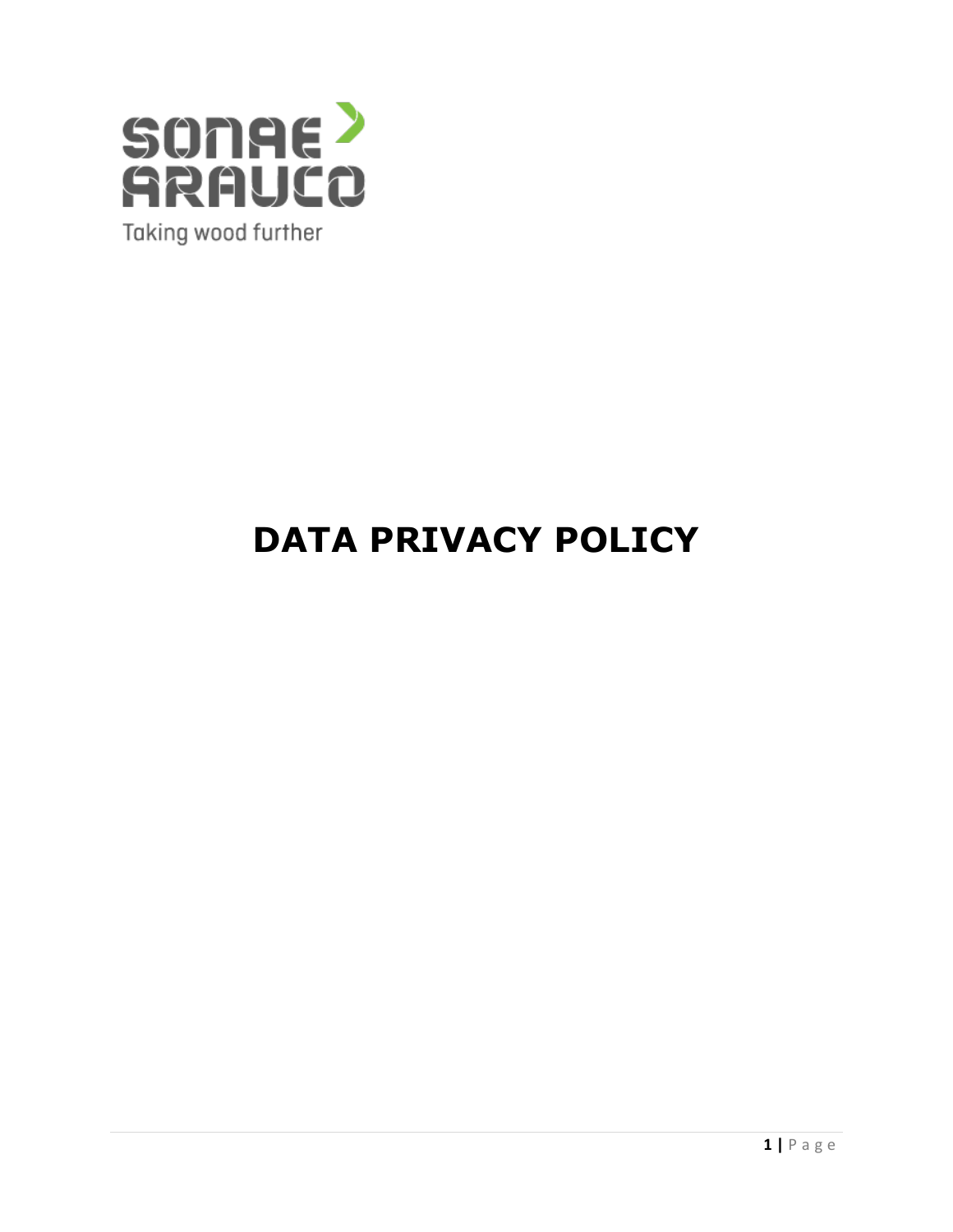

# **DATA PRIVACY POLICY**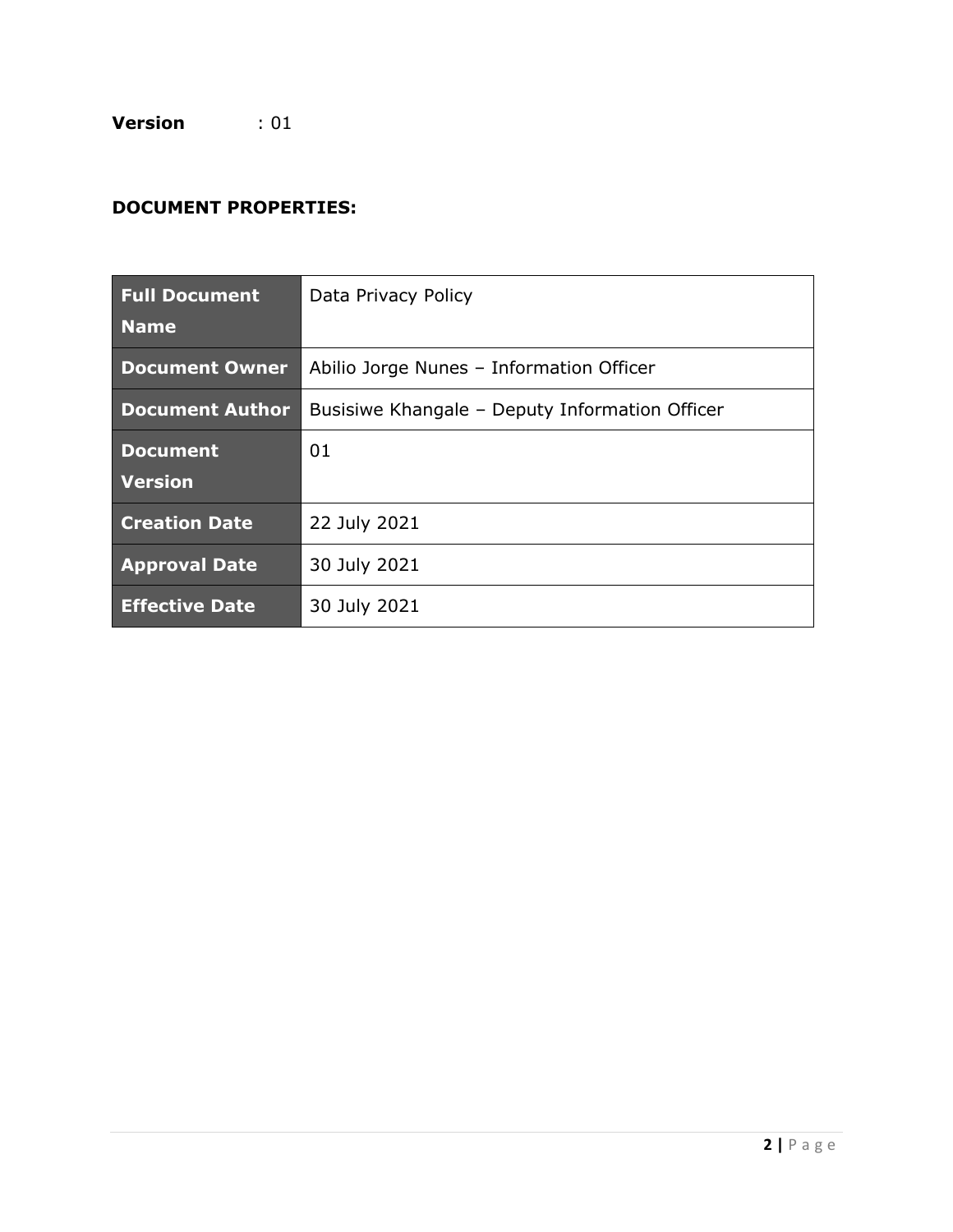**Version** : 01

# **DOCUMENT PROPERTIES:**

| <b>Full Document</b><br><b>Name</b> | Data Privacy Policy                            |
|-------------------------------------|------------------------------------------------|
| <b>Document Owner</b>               | Abilio Jorge Nunes - Information Officer       |
| <b>Document Author</b>              | Busisiwe Khangale - Deputy Information Officer |
| <b>Document</b><br><b>Version</b>   | 01                                             |
| <b>Creation Date</b>                | 22 July 2021                                   |
| <b>Approval Date</b>                | 30 July 2021                                   |
| <b>Effective Date</b>               | 30 July 2021                                   |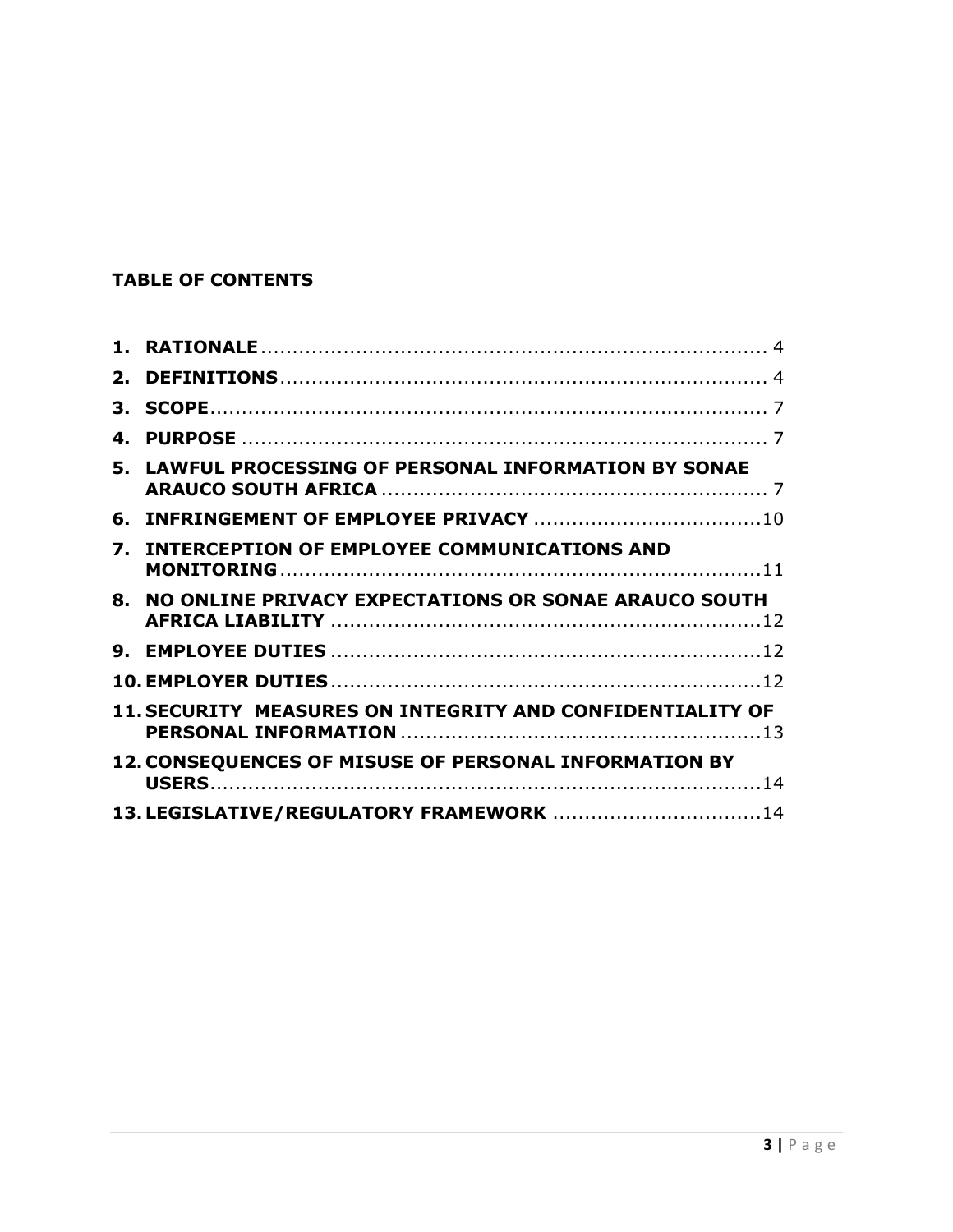# **TABLE OF CONTENTS**

| $2_{-}$          |                                                              |
|------------------|--------------------------------------------------------------|
| 3.               |                                                              |
| $\mathbf{A}_{-}$ |                                                              |
|                  | 5. LAWFUL PROCESSING OF PERSONAL INFORMATION BY SONAE        |
| 6.               |                                                              |
| 7.               | <b>INTERCEPTION OF EMPLOYEE COMMUNICATIONS AND</b>           |
| $\mathbf{R}_{-}$ | NO ONLINE PRIVACY EXPECTATIONS OR SONAE ARAUCO SOUTH         |
|                  |                                                              |
|                  |                                                              |
|                  | 11. SECURITY MEASURES ON INTEGRITY AND CONFIDENTIALITY OF    |
|                  | <b>12. CONSEQUENCES OF MISUSE OF PERSONAL INFORMATION BY</b> |
|                  | 13. LEGISLATIVE/REGULATORY FRAMEWORK  14                     |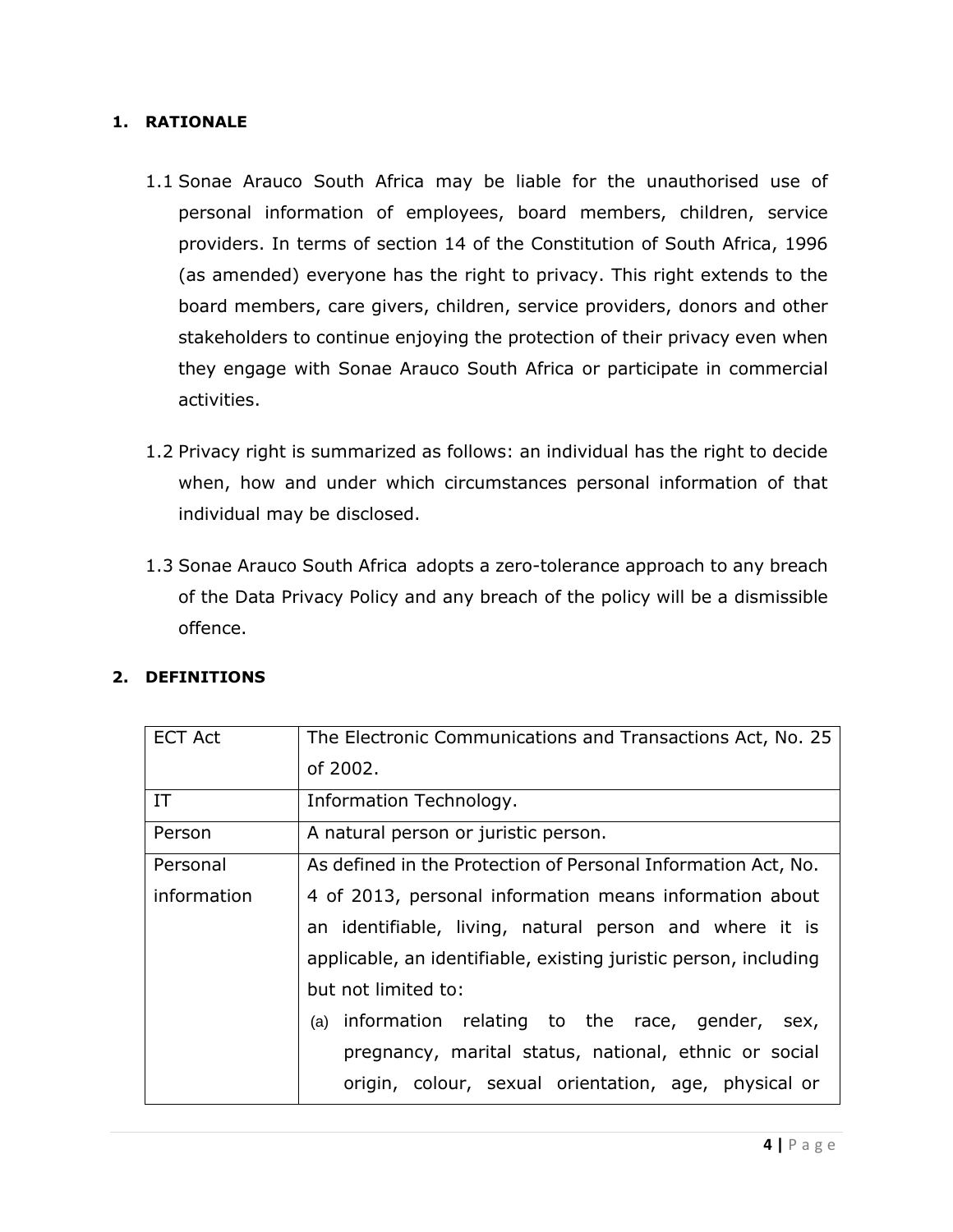## <span id="page-3-0"></span>**1. RATIONALE**

- 1.1 Sonae Arauco South Africa may be liable for the unauthorised use of personal information of employees, board members, children, service providers. In terms of section 14 of the Constitution of South Africa, 1996 (as amended) everyone has the right to privacy. This right extends to the board members, care givers, children, service providers, donors and other stakeholders to continue enjoying the protection of their privacy even when they engage with Sonae Arauco South Africa or participate in commercial activities.
- 1.2 Privacy right is summarized as follows: an individual has the right to decide when, how and under which circumstances personal information of that individual may be disclosed.
- 1.3 Sonae Arauco South Africa adopts a zero-tolerance approach to any breach of the Data Privacy Policy and any breach of the policy will be a dismissible offence.

| <b>ECT Act</b> | The Electronic Communications and Transactions Act, No. 25       |
|----------------|------------------------------------------------------------------|
|                | of 2002.                                                         |
| IT             | Information Technology.                                          |
| Person         | A natural person or juristic person.                             |
| Personal       | As defined in the Protection of Personal Information Act, No.    |
| information    | 4 of 2013, personal information means information about          |
|                | an identifiable, living, natural person and where it is          |
|                | applicable, an identifiable, existing juristic person, including |
|                | but not limited to:                                              |
|                | information relating to the race, gender, sex,<br>(a)            |
|                | pregnancy, marital status, national, ethnic or social            |
|                | origin, colour, sexual orientation, age, physical or             |

#### <span id="page-3-1"></span>**2. DEFINITIONS**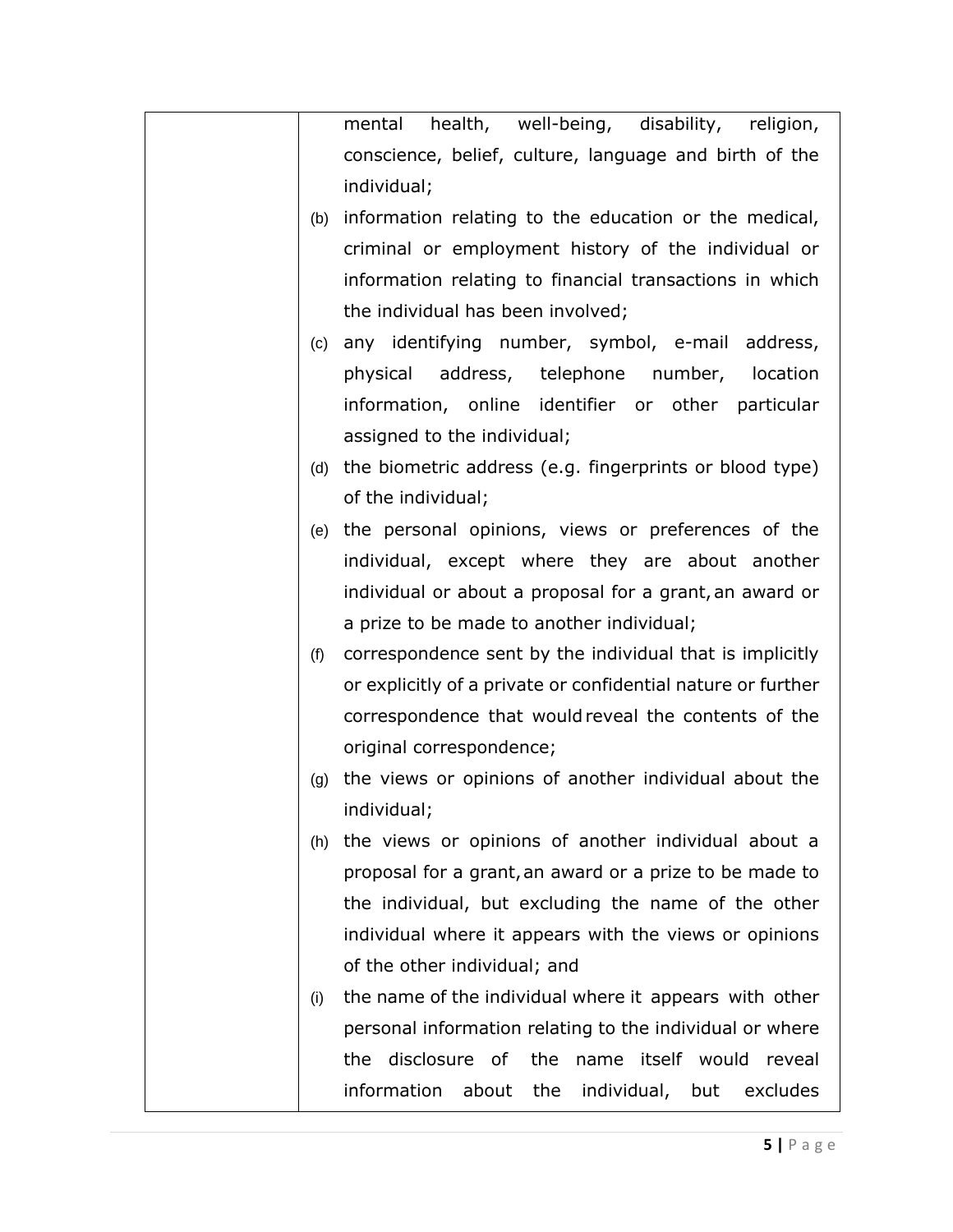|     | health, well-being, disability, religion,<br>mental          |
|-----|--------------------------------------------------------------|
|     | conscience, belief, culture, language and birth of the       |
|     | individual;                                                  |
| (b) | information relating to the education or the medical,        |
|     | criminal or employment history of the individual or          |
|     | information relating to financial transactions in which      |
|     | the individual has been involved;                            |
| (c) | any identifying number, symbol, e-mail address,              |
|     | physical address, telephone number, location                 |
|     | information, online identifier or other particular           |
|     | assigned to the individual;                                  |
| (d) | the biometric address (e.g. fingerprints or blood type)      |
|     | of the individual;                                           |
| (e) | the personal opinions, views or preferences of the           |
|     | individual, except where they are about another              |
|     | individual or about a proposal for a grant, an award or      |
|     | a prize to be made to another individual;                    |
| (f) | correspondence sent by the individual that is implicitly     |
|     | or explicitly of a private or confidential nature or further |
|     | correspondence that would reveal the contents of the         |
|     | original correspondence;                                     |
| (g) | the views or opinions of another individual about the        |
|     | individual;                                                  |
| (h) | the views or opinions of another individual about a          |
|     | proposal for a grant, an award or a prize to be made to      |
|     | the individual, but excluding the name of the other          |
|     | individual where it appears with the views or opinions       |
|     | of the other individual; and                                 |
| (i) | the name of the individual where it appears with other       |
|     | personal information relating to the individual or where     |
|     | disclosure of<br>the<br>name itself would reveal<br>the      |
|     | information about the individual, but<br>excludes            |
|     |                                                              |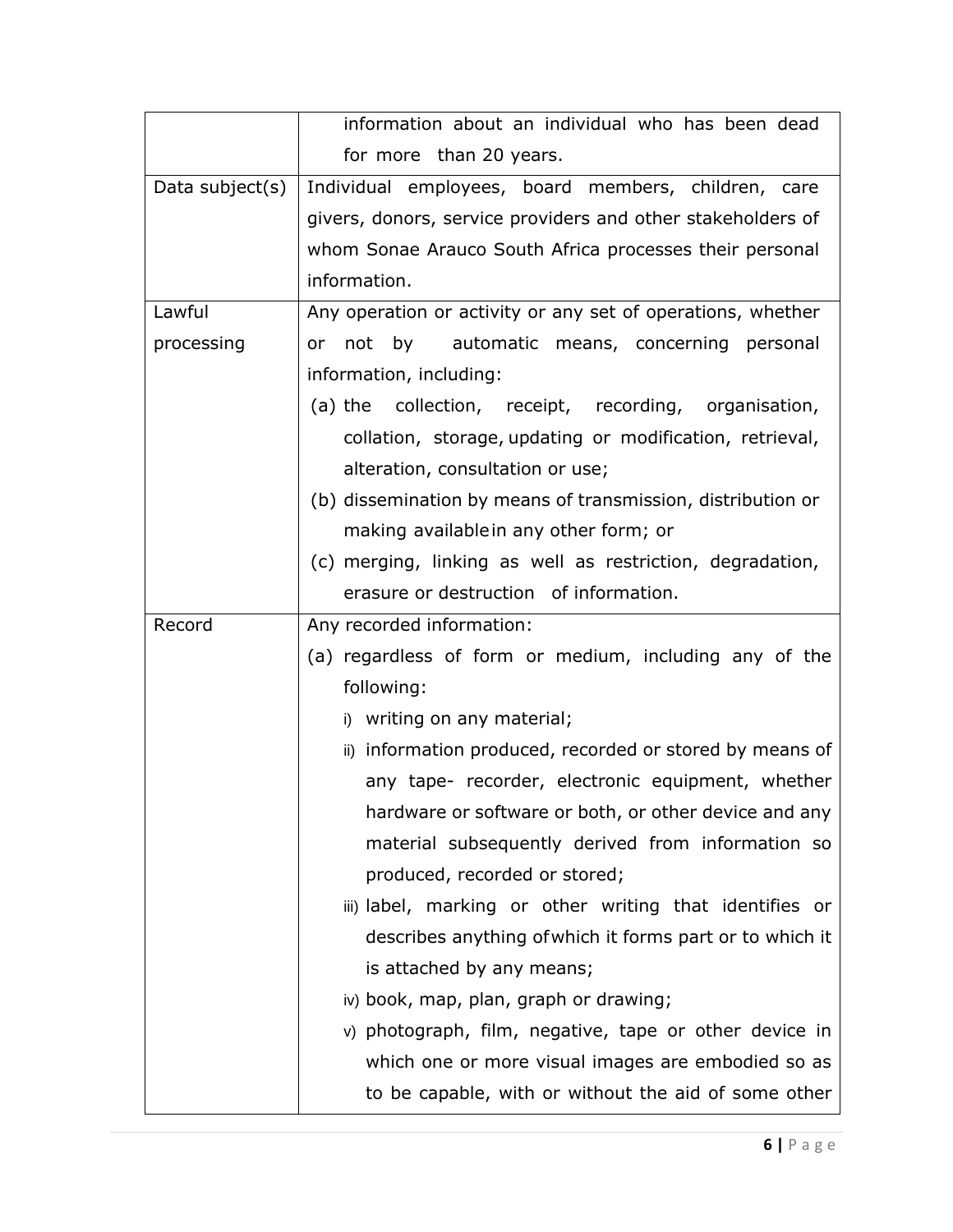|                 | information about an individual who has been dead              |
|-----------------|----------------------------------------------------------------|
|                 | for more than 20 years.                                        |
| Data subject(s) | Individual employees, board members, children, care            |
|                 | givers, donors, service providers and other stakeholders of    |
|                 | whom Sonae Arauco South Africa processes their personal        |
|                 | information.                                                   |
| Lawful          | Any operation or activity or any set of operations, whether    |
| processing      | by<br>not<br>automatic means, concerning personal<br><b>or</b> |
|                 | information, including:                                        |
|                 | (a) the collection, receipt, recording, organisation,          |
|                 | collation, storage, updating or modification, retrieval,       |
|                 | alteration, consultation or use;                               |
|                 | (b) dissemination by means of transmission, distribution or    |
|                 | making availablein any other form; or                          |
|                 | (c) merging, linking as well as restriction, degradation,      |
|                 | erasure or destruction of information.                         |
| Record          | Any recorded information:                                      |
|                 | (a) regardless of form or medium, including any of the         |
|                 | following:                                                     |
|                 | i) writing on any material;                                    |
|                 | ii) information produced, recorded or stored by means of       |
|                 | any tape- recorder, electronic equipment, whether              |
|                 | hardware or software or both, or other device and any          |
|                 | material subsequently derived from information so              |
|                 | produced, recorded or stored;                                  |
|                 | iii) label, marking or other writing that identifies or        |
|                 | describes anything of which it forms part or to which it       |
|                 | is attached by any means;                                      |
|                 | iv) book, map, plan, graph or drawing;                         |
|                 | v) photograph, film, negative, tape or other device in         |
|                 | which one or more visual images are embodied so as             |
|                 | to be capable, with or without the aid of some other           |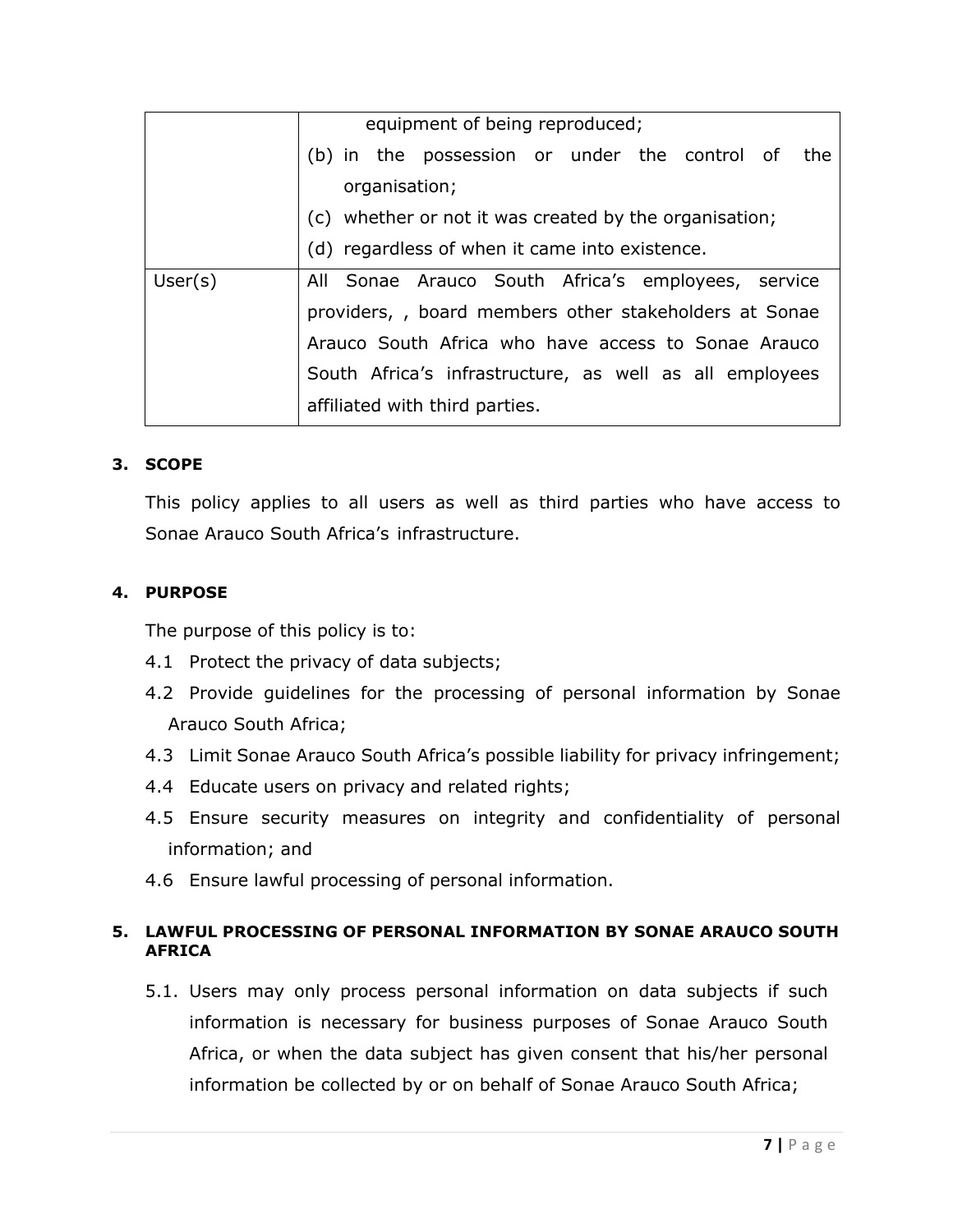|         | equipment of being reproduced;                          |
|---------|---------------------------------------------------------|
|         | (b) in the possession or under the control of the       |
|         | organisation;                                           |
|         | (c) whether or not it was created by the organisation;  |
|         | (d) regardless of when it came into existence.          |
| User(s) | All Sonae Arauco South Africa's employees, service      |
|         | providers,, board members other stakeholders at Sonae   |
|         | Arauco South Africa who have access to Sonae Arauco     |
|         | South Africa's infrastructure, as well as all employees |
|         | affiliated with third parties.                          |

## <span id="page-6-0"></span>**3. SCOPE**

This policy applies to all users as well as third parties who have access to Sonae Arauco South Africa's infrastructure.

## <span id="page-6-1"></span>**4. PURPOSE**

The purpose of this policy is to:

- 4.1 Protect the privacy of data subjects;
- 4.2 Provide guidelines for the processing of personal information by Sonae Arauco South Africa;
- 4.3 Limit Sonae Arauco South Africa's possible liability for privacy infringement;
- 4.4 Educate users on privacy and related rights;
- 4.5 Ensure security measures on integrity and confidentiality of personal information; and
- 4.6 Ensure lawful processing of personal information.

# <span id="page-6-2"></span>**5. LAWFUL PROCESSING OF PERSONAL INFORMATION BY SONAE ARAUCO SOUTH AFRICA**

5.1. Users may only process personal information on data subjects if such information is necessary for business purposes of Sonae Arauco South Africa, or when the data subject has given consent that his/her personal information be collected by or on behalf of Sonae Arauco South Africa;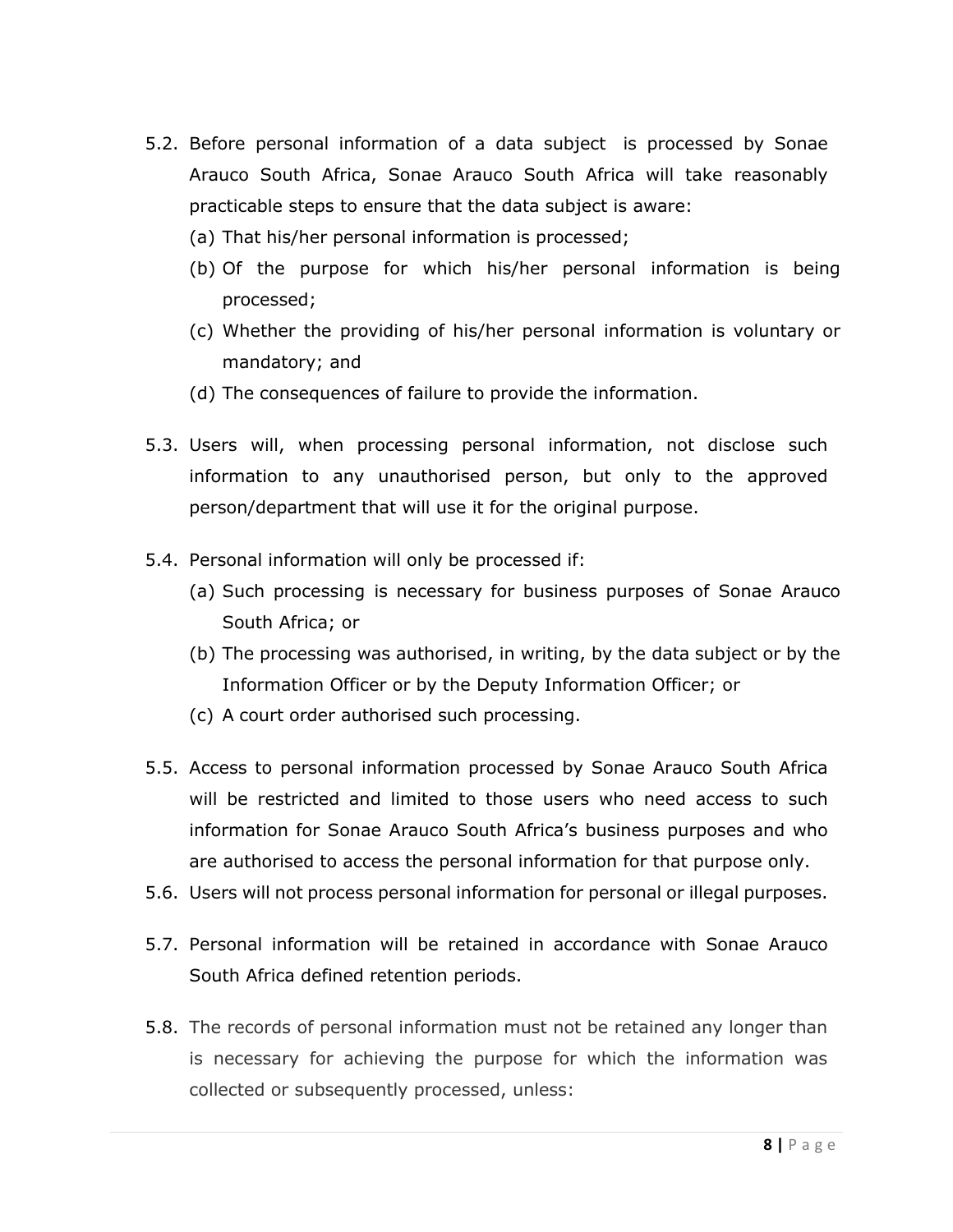- 5.2. Before personal information of a data subject is processed by Sonae Arauco South Africa, Sonae Arauco South Africa will take reasonably practicable steps to ensure that the data subject is aware:
	- (a) That his/her personal information is processed;
	- (b) Of the purpose for which his/her personal information is being processed;
	- (c) Whether the providing of his/her personal information is voluntary or mandatory; and
	- (d) The consequences of failure to provide the information.
- 5.3. Users will, when processing personal information, not disclose such information to any unauthorised person, but only to the approved person/department that will use it for the original purpose.
- 5.4. Personal information will only be processed if:
	- (a) Such processing is necessary for business purposes of Sonae Arauco South Africa; or
	- (b) The processing was authorised, in writing, by the data subject or by the Information Officer or by the Deputy Information Officer; or
	- (c) A court order authorised such processing.
- 5.5. Access to personal information processed by Sonae Arauco South Africa will be restricted and limited to those users who need access to such information for Sonae Arauco South Africa's business purposes and who are authorised to access the personal information for that purpose only.
- 5.6. Users will not process personal information for personal or illegal purposes.
- 5.7. Personal information will be retained in accordance with Sonae Arauco South Africa defined retention periods.
- 5.8. The records of personal information must not be retained any longer than is necessary for achieving the purpose for which the information was collected or subsequently processed, unless: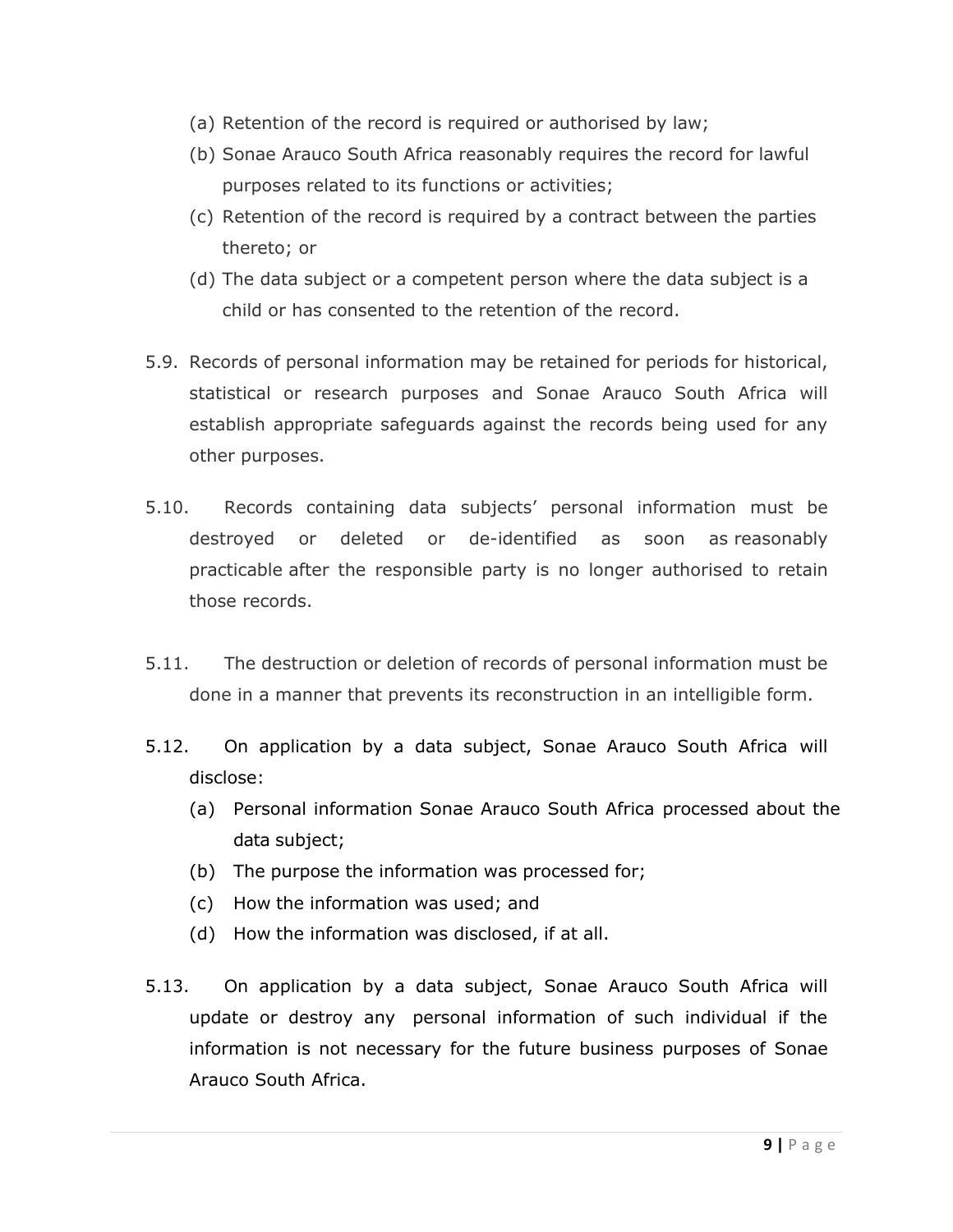- (a) Retention of the record is required or authorised by law;
- (b) Sonae Arauco South Africa reasonably requires the record for lawful purposes related to its functions or activities;
- (c) Retention of the record is required by a contract between the parties thereto; or
- (d) The data subject or a competent person where the data subject is a child or has consented to the retention of the record.
- 5.9. Records of personal information may be retained for periods for historical, statistical or research purposes and Sonae Arauco South Africa will establish appropriate safeguards against the records being used for any other purposes.
- 5.10. Records containing data subjects' personal information must be destroyed or deleted or de-identified as soon as [reasonably](https://www.michalsons.com/blog/reasonably-practicable-to-comply-with-popi/13296)  [practicable](https://www.michalsons.com/blog/reasonably-practicable-to-comply-with-popi/13296) after the responsible party is no longer authorised to retain those records.
- 5.11. The destruction or deletion of records of personal information must be done in a manner that prevents its reconstruction in an intelligible form.
- 5.12. On application by a data subject, Sonae Arauco South Africa will disclose:
	- (a) Personal information Sonae Arauco South Africa processed about the data subject;
	- (b) The purpose the information was processed for;
	- (c) How the information was used; and
	- (d) How the information was disclosed, if at all.
- 5.13. On application by a data subject, Sonae Arauco South Africa will update or destroy any personal information of such individual if the information is not necessary for the future business purposes of Sonae Arauco South Africa.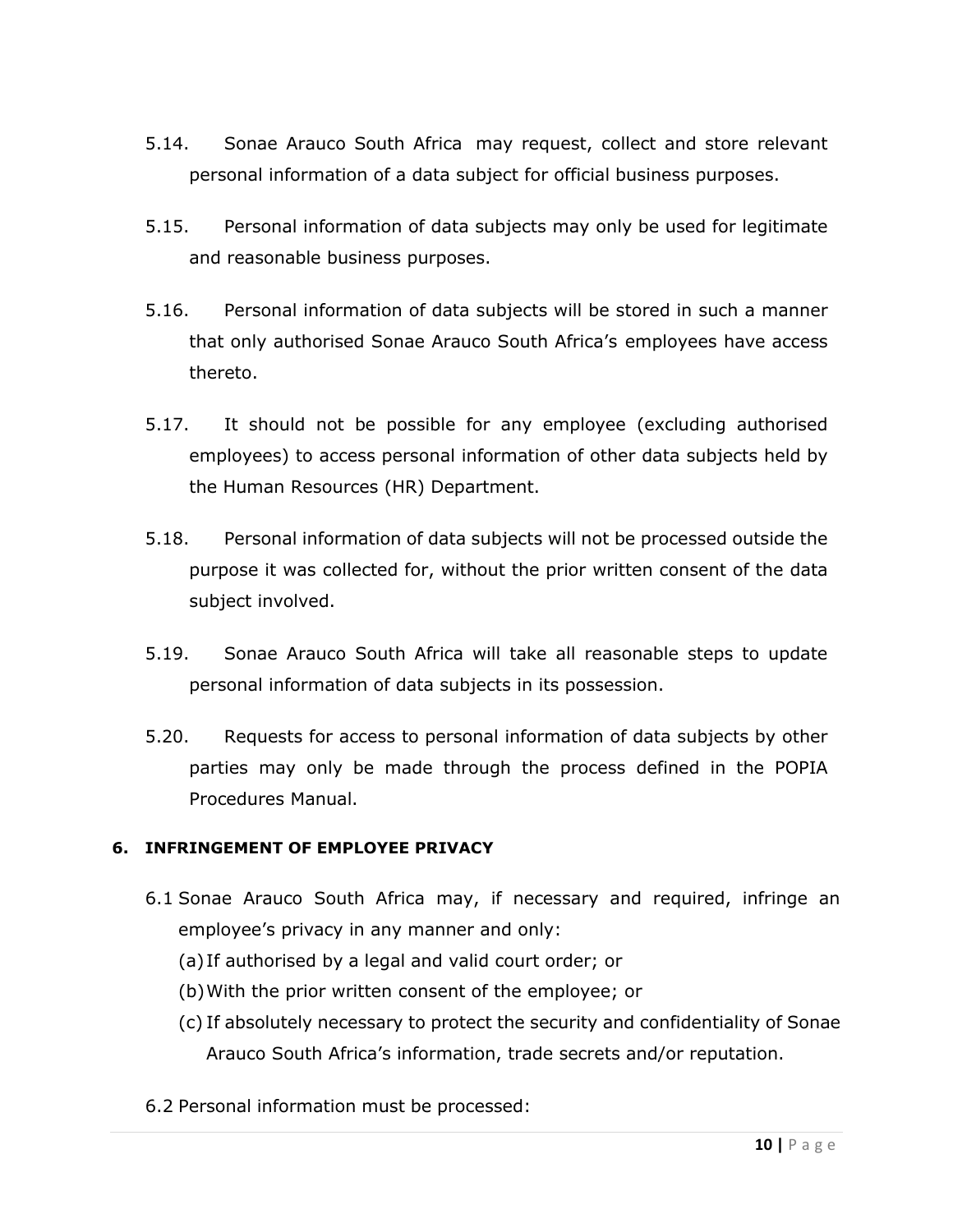- 5.14. Sonae Arauco South Africa may request, collect and store relevant personal information of a data subject for official business purposes.
- 5.15. Personal information of data subjects may only be used for legitimate and reasonable business purposes.
- 5.16. Personal information of data subjects will be stored in such a manner that only authorised Sonae Arauco South Africa's employees have access thereto.
- 5.17. It should not be possible for any employee (excluding authorised employees) to access personal information of other data subjects held by the Human Resources (HR) Department.
- 5.18. Personal information of data subjects will not be processed outside the purpose it was collected for, without the prior written consent of the data subject involved.
- 5.19. Sonae Arauco South Africa will take all reasonable steps to update personal information of data subjects in its possession.
- 5.20. Requests for access to personal information of data subjects by other parties may only be made through the process defined in the POPIA Procedures Manual.

# <span id="page-9-0"></span>**6. INFRINGEMENT OF EMPLOYEE PRIVACY**

- 6.1 Sonae Arauco South Africa may, if necessary and required, infringe an employee's privacy in any manner and only:
	- (a) If authorised by a legal and valid court order; or
	- (b)With the prior written consent of the employee; or
	- (c) If absolutely necessary to protect the security and confidentiality of Sonae Arauco South Africa's information, trade secrets and/or reputation.
- 6.2 Personal information must be processed: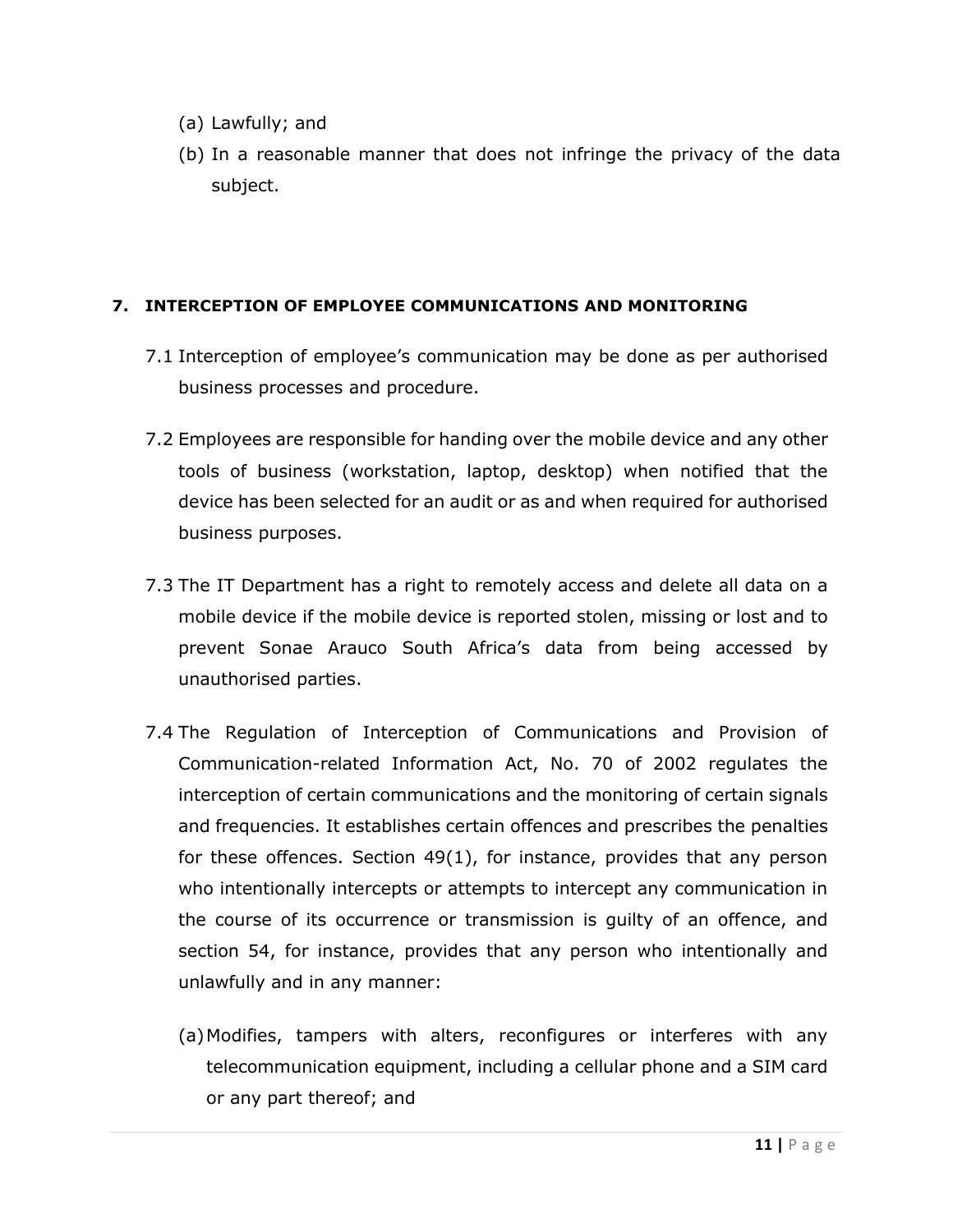- (a) Lawfully; and
- (b) In a reasonable manner that does not infringe the privacy of the data subject.

## <span id="page-10-0"></span>**7. INTERCEPTION OF EMPLOYEE COMMUNICATIONS AND MONITORING**

- 7.1 Interception of employee's communication may be done as per authorised business processes and procedure.
- 7.2 Employees are responsible for handing over the mobile device and any other tools of business (workstation, laptop, desktop) when notified that the device has been selected for an audit or as and when required for authorised business purposes.
- 7.3 The IT Department has a right to remotely access and delete all data on a mobile device if the mobile device is reported stolen, missing or lost and to prevent Sonae Arauco South Africa's data from being accessed by unauthorised parties.
- 7.4 The Regulation of Interception of Communications and Provision of Communication-related Information Act, No. 70 of 2002 regulates the interception of certain communications and the monitoring of certain signals and frequencies. It establishes certain offences and prescribes the penalties for these offences. Section  $49(1)$ , for instance, provides that any person who intentionally intercepts or attempts to intercept any communication in the course of its occurrence or transmission is guilty of an offence, and section 54, for instance, provides that any person who intentionally and unlawfully and in any manner:
	- (a)Modifies, tampers with alters, reconfigures or interferes with any telecommunication equipment, including a cellular phone and a SIM card or any part thereof; and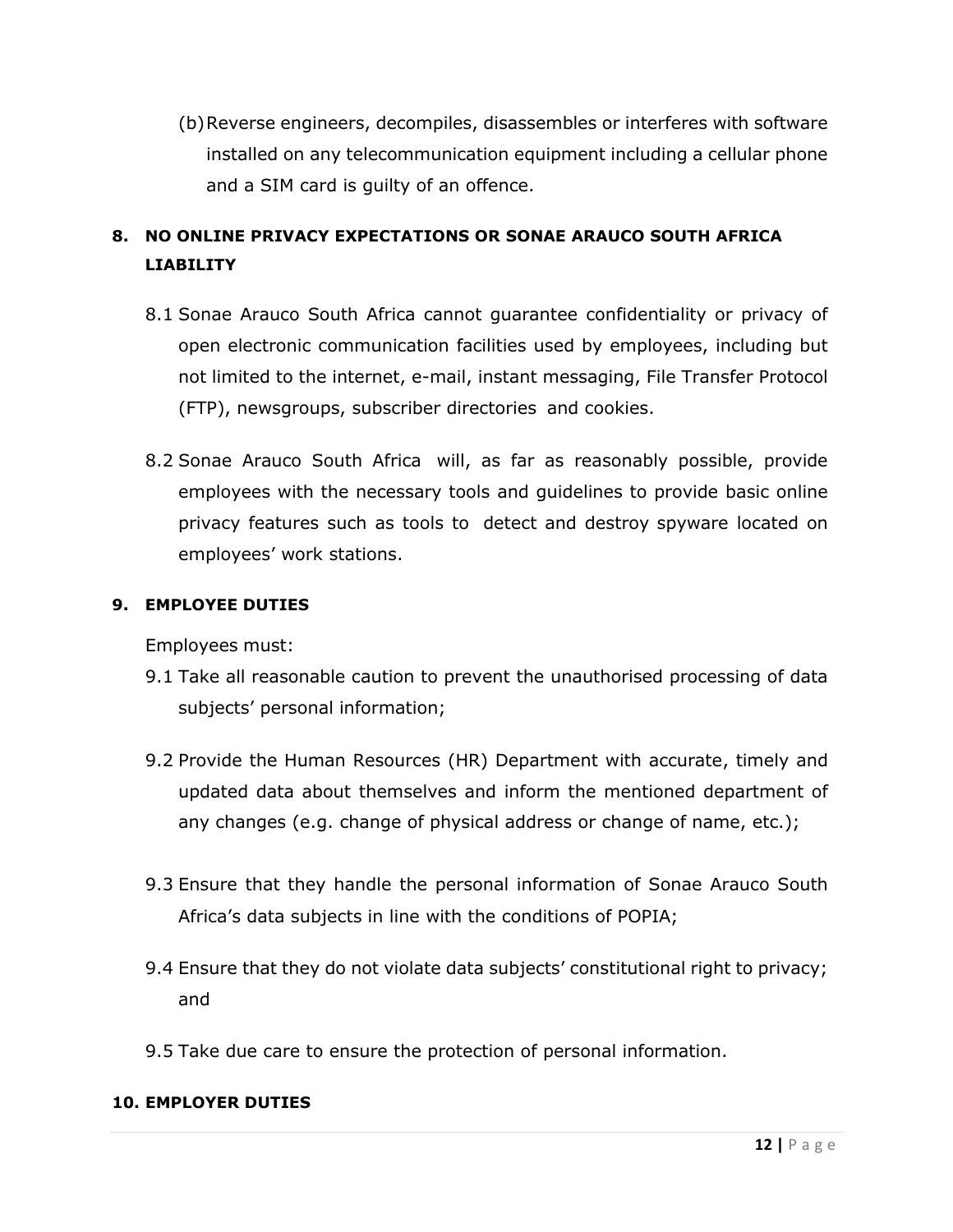(b)Reverse engineers, decompiles, disassembles or interferes with software installed on any telecommunication equipment including a cellular phone and a SIM card is guilty of an offence.

# <span id="page-11-0"></span>**8. NO ONLINE PRIVACY EXPECTATIONS OR SONAE ARAUCO SOUTH AFRICA LIABILITY**

- 8.1 Sonae Arauco South Africa cannot guarantee confidentiality or privacy of open electronic communication facilities used by employees, including but not limited to the internet, e-mail, instant messaging, File Transfer Protocol (FTP), newsgroups, subscriber directories and cookies.
- 8.2 Sonae Arauco South Africa will, as far as reasonably possible, provide employees with the necessary tools and guidelines to provide basic online privacy features such as tools to detect and destroy spyware located on employees' work stations.

# <span id="page-11-1"></span>**9. EMPLOYEE DUTIES**

Employees must:

- 9.1 Take all reasonable caution to prevent the unauthorised processing of data subjects' personal information;
- 9.2 Provide the Human Resources (HR) Department with accurate, timely and updated data about themselves and inform the mentioned department of any changes (e.g. change of physical address or change of name, etc.);
- 9.3 Ensure that they handle the personal information of Sonae Arauco South Africa's data subjects in line with the conditions of POPIA;
- 9.4 Ensure that they do not violate data subjects' constitutional right to privacy; and
- 9.5 Take due care to ensure the protection of personal information.

#### <span id="page-11-2"></span>**10. EMPLOYER DUTIES**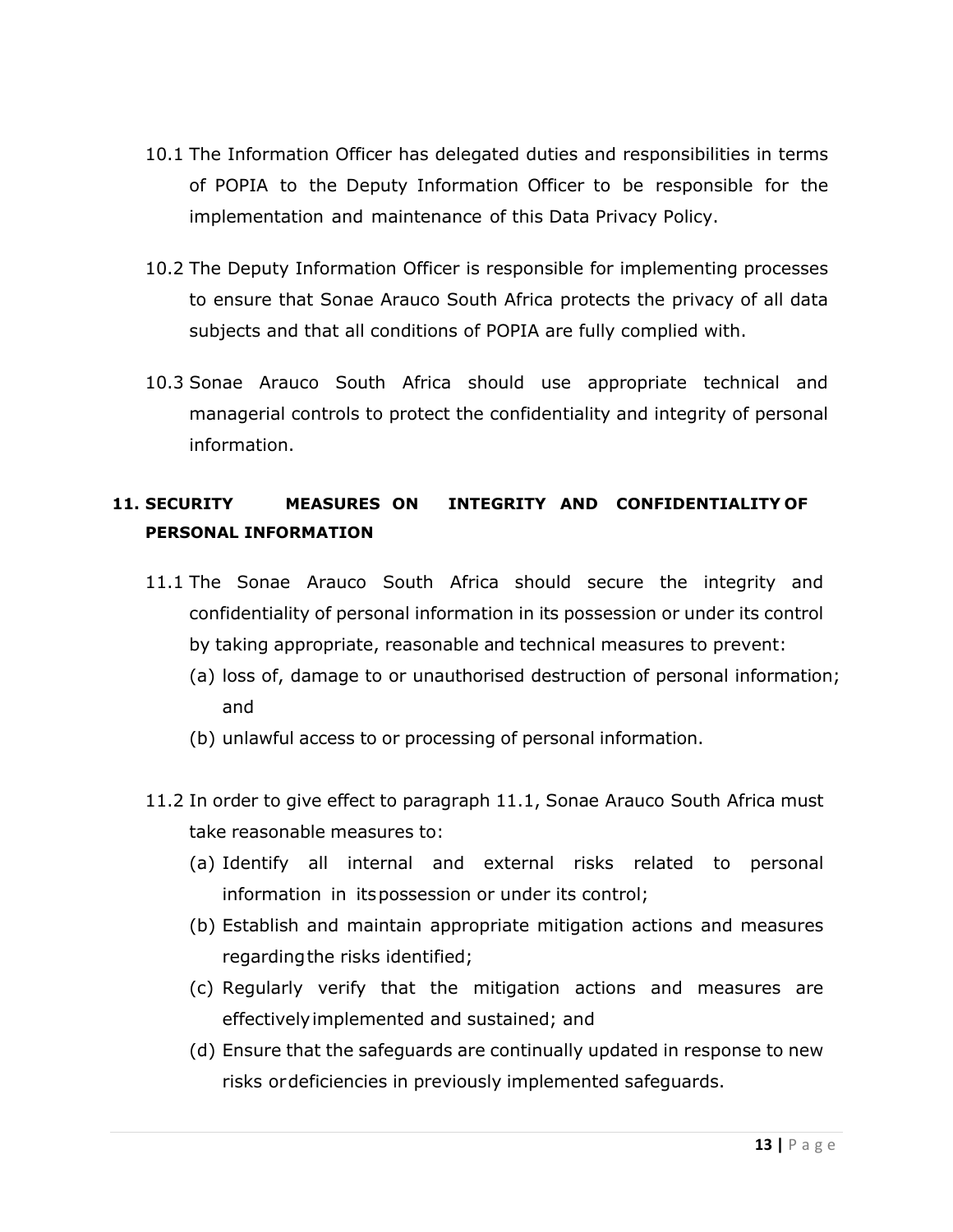- 10.1 The Information Officer has delegated duties and responsibilities in terms of POPIA to the Deputy Information Officer to be responsible for the implementation and maintenance of this Data Privacy Policy.
- 10.2 The Deputy Information Officer is responsible for implementing processes to ensure that Sonae Arauco South Africa protects the privacy of all data subjects and that all conditions of POPIA are fully complied with.
- 10.3 Sonae Arauco South Africa should use appropriate technical and managerial controls to protect the confidentiality and integrity of personal information.

# <span id="page-12-0"></span>**11. SECURITY MEASURES ON INTEGRITY AND CONFIDENTIALITY OF PERSONAL INFORMATION**

- 11.1 The Sonae Arauco South Africa should secure the integrity and confidentiality of personal information in its possession or under its control by taking appropriate, reasonable and technical measures to prevent:
	- (a) loss of, damage to or unauthorised destruction of personal information; and
	- (b) unlawful access to or processing of personal information.
- 11.2 In order to give effect to paragraph 11.1, Sonae Arauco South Africa must take reasonable measures to:
	- (a) Identify all internal and external risks related to personal information in itspossession or under its control;
	- (b) Establish and maintain appropriate mitigation actions and measures regardingthe risks identified;
	- (c) Regularly verify that the mitigation actions and measures are effectivelyimplemented and sustained; and
	- (d) Ensure that the safeguards are continually updated in response to new risks ordeficiencies in previously implemented safeguards.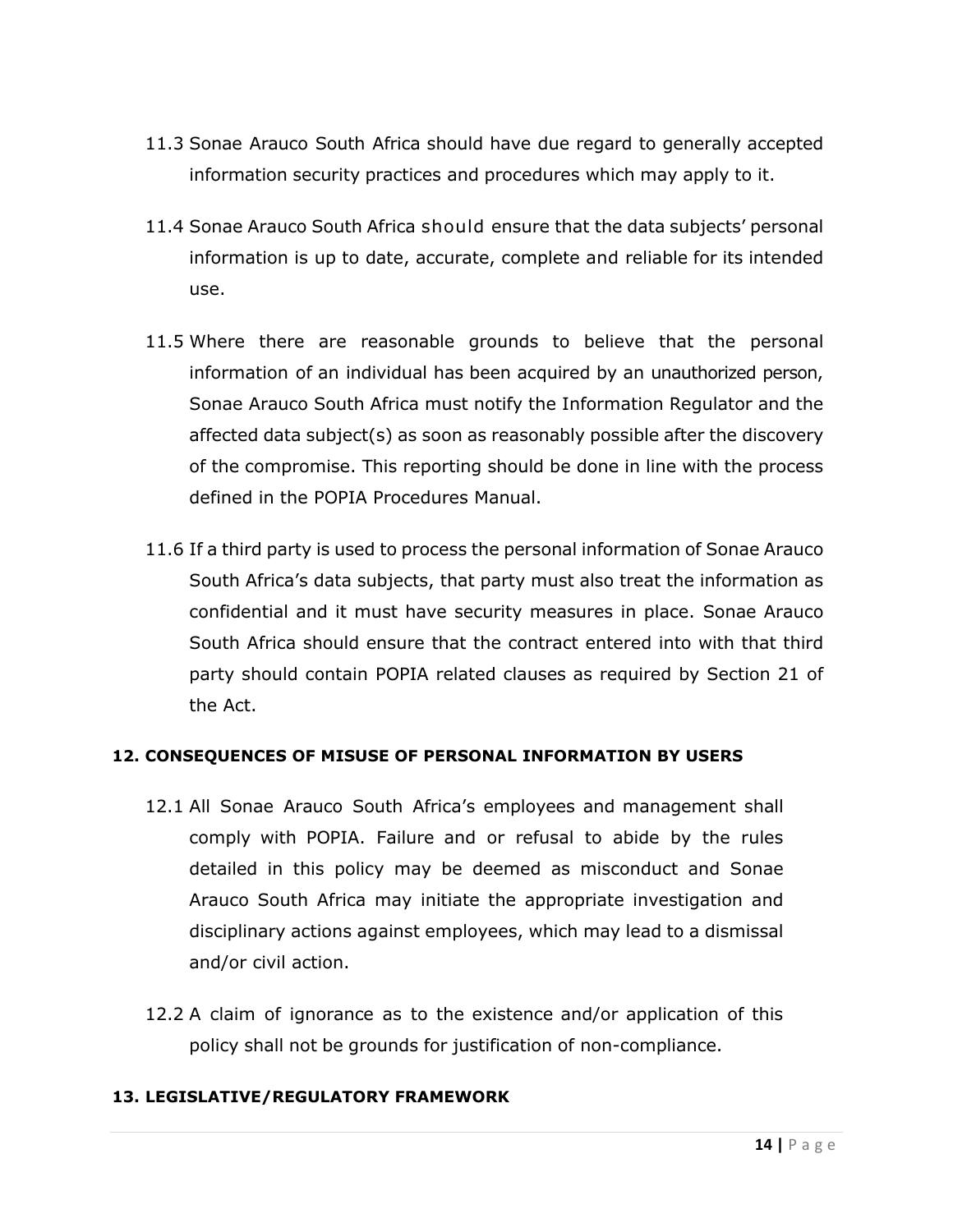- 11.3 Sonae Arauco South Africa should have due regard to generally accepted information security practices and procedures which may apply to it.
- 11.4 Sonae Arauco South Africa should ensure that the data subjects' personal information is up to date, accurate, complete and reliable for its intended use.
- 11.5 Where there are reasonable grounds to believe that the personal information of an individual has been acquired by an unauthorized person, Sonae Arauco South Africa must notify the Information Regulator and the affected data subject(s) as soon as reasonably possible after the discovery of the compromise. This reporting should be done in line with the process defined in the POPIA Procedures Manual.
- 11.6 If a third party is used to process the personal information of Sonae Arauco South Africa's data subjects, that party must also treat the information as confidential and it must have security measures in place. Sonae Arauco South Africa should ensure that the contract entered into with that third party should contain POPIA related clauses as required by Section 21 of the Act.

# <span id="page-13-0"></span>**12. CONSEQUENCES OF MISUSE OF PERSONAL INFORMATION BY USERS**

- 12.1 All Sonae Arauco South Africa's employees and management shall comply with POPIA. Failure and or refusal to abide by the rules detailed in this policy may be deemed as misconduct and Sonae Arauco South Africa may initiate the appropriate investigation and disciplinary actions against employees, which may lead to a dismissal and/or civil action.
- 12.2 A claim of ignorance as to the existence and/or application of this policy shall not be grounds for justification of non-compliance.

#### <span id="page-13-1"></span>**13. LEGISLATIVE/REGULATORY FRAMEWORK**